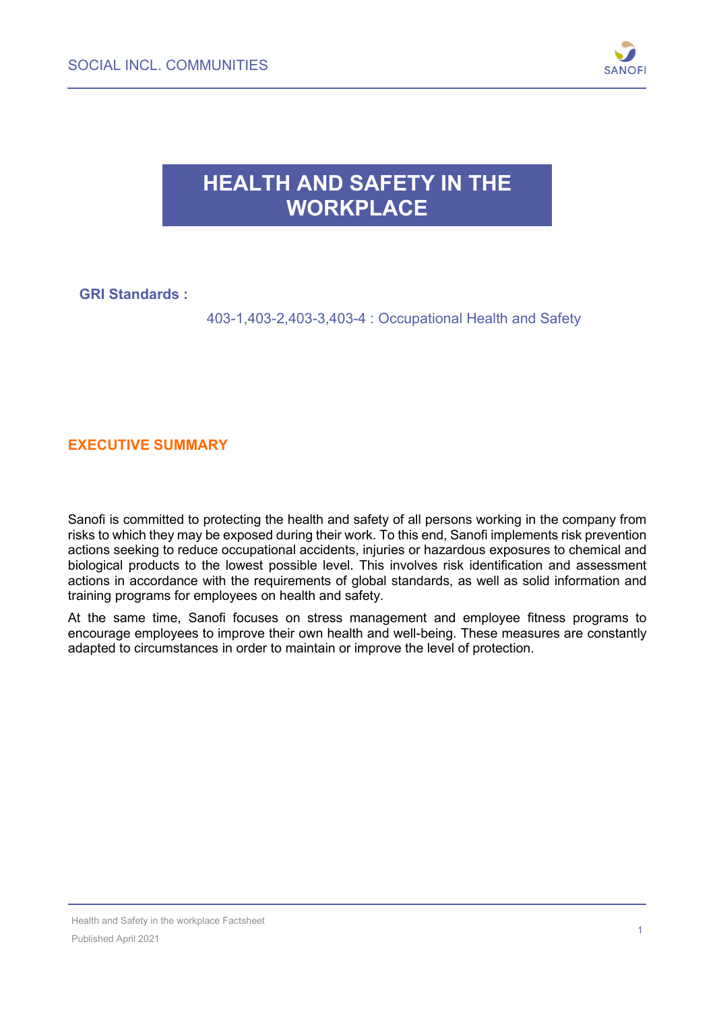

## **HEALTH AND SAFETY IN THE WORKPLACE**

### **GRI Standards :**

403-1,403-2,403-3,403-4 : Occupational Health and Safety

#### **EXECUTIVE SUMMARY**

Sanofi is committed to protecting the health and safety of all persons working in the company from risks to which they may be exposed during their work. To this end, Sanofi implements risk prevention actions seeking to reduce occupational accidents, injuries or hazardous exposures to chemical and biological products to the lowest possible level. This involves risk identification and assessment actions in accordance with the requirements of global standards, as well as solid information and training programs for employees on health and safety.

At the same time, Sanofi focuses on stress management and employee fitness programs to encourage employees to improve their own health and well-being. These measures are constantly adapted to circumstances in order to maintain or improve the level of protection.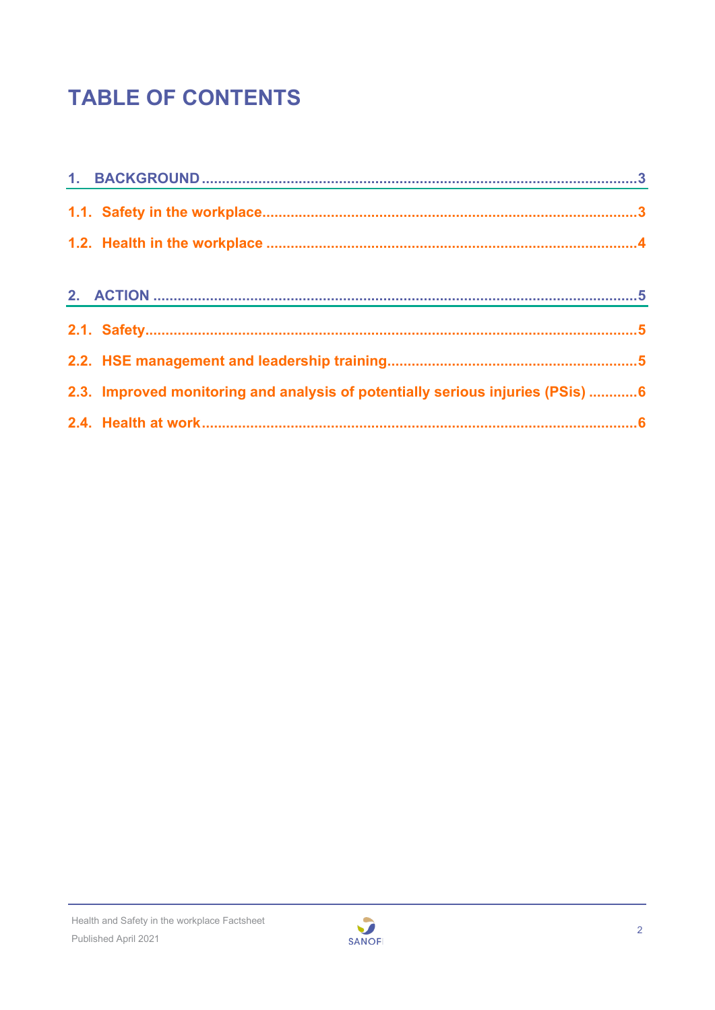# **TABLE OF CONTENTS**

| 2.3. Improved monitoring and analysis of potentially serious injuries (PSis) 6 |  |
|--------------------------------------------------------------------------------|--|
|                                                                                |  |

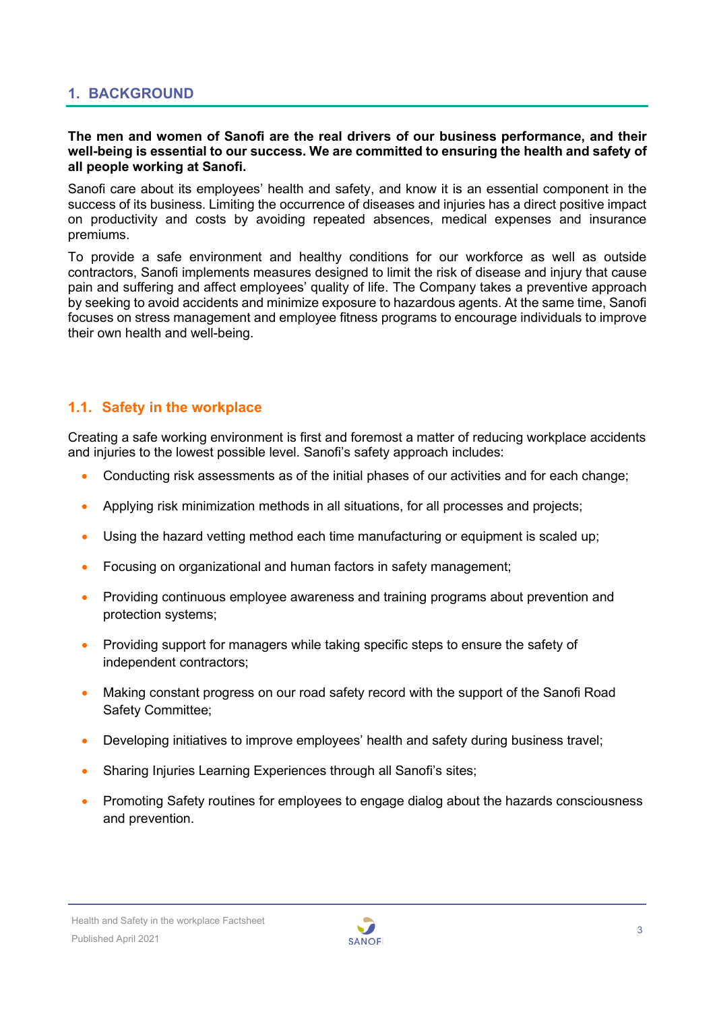#### <span id="page-2-0"></span>**1. BACKGROUND**

#### **The men and women of Sanofi are the real drivers of our business performance, and their well-being is essential to our success. We are committed to ensuring the health and safety of all people working at Sanofi.**

Sanofi care about its employees' health and safety, and know it is an essential component in the success of its business. Limiting the occurrence of diseases and injuries has a direct positive impact on productivity and costs by avoiding repeated absences, medical expenses and insurance premiums.

To provide a safe environment and healthy conditions for our workforce as well as outside contractors, Sanofi implements measures designed to limit the risk of disease and injury that cause pain and suffering and affect employees' quality of life. The Company takes a preventive approach by seeking to avoid accidents and minimize exposure to hazardous agents. At the same time, Sanofi focuses on stress management and employee fitness programs to encourage individuals to improve their own health and well-being.

#### <span id="page-2-1"></span>**1.1. Safety in the workplace**

Creating a safe working environment is first and foremost a matter of reducing workplace accidents and injuries to the lowest possible level. Sanofi's safety approach includes:

- Conducting risk assessments as of the initial phases of our activities and for each change;
- Applying risk minimization methods in all situations, for all processes and projects;
- Using the hazard vetting method each time manufacturing or equipment is scaled up;
- Focusing on organizational and human factors in safety management;
- Providing continuous employee awareness and training programs about prevention and protection systems;
- Providing support for managers while taking specific steps to ensure the safety of independent contractors;
- Making constant progress on our road safety record with the support of the Sanofi Road Safety Committee;
- Developing initiatives to improve employees' health and safety during business travel;
- Sharing Injuries Learning Experiences through all Sanofi's sites;
- Promoting Safety routines for employees to engage dialog about the hazards consciousness and prevention.

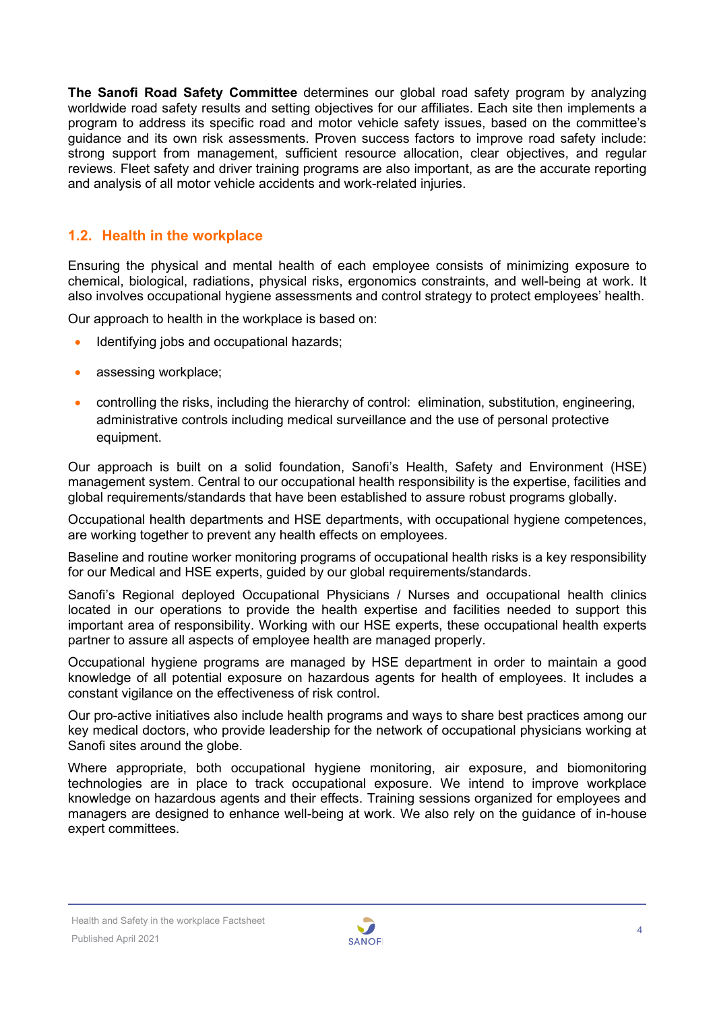**The Sanofi Road Safety Committee** determines our global road safety program by analyzing worldwide road safety results and setting objectives for our affiliates. Each site then implements a program to address its specific road and motor vehicle safety issues, based on the committee's guidance and its own risk assessments. Proven success factors to improve road safety include: strong support from management, sufficient resource allocation, clear objectives, and regular reviews. Fleet safety and driver training programs are also important, as are the accurate reporting and analysis of all motor vehicle accidents and work-related injuries.

#### <span id="page-3-0"></span>**1.2. Health in the workplace**

Ensuring the physical and mental health of each employee consists of minimizing exposure to chemical, biological, radiations, physical risks, ergonomics constraints, and well-being at work. It also involves occupational hygiene assessments and control strategy to protect employees' health.

Our approach to health in the workplace is based on:

- Identifying jobs and occupational hazards;
- assessing workplace;
- controlling the risks, including the hierarchy of control: elimination, substitution, engineering, administrative controls including medical surveillance and the use of personal protective equipment.

Our approach is built on a solid foundation, Sanofi's Health, Safety and Environment (HSE) management system. Central to our occupational health responsibility is the expertise, facilities and global requirements/standards that have been established to assure robust programs globally.

Occupational health departments and HSE departments, with occupational hygiene competences, are working together to prevent any health effects on employees.

Baseline and routine worker monitoring programs of occupational health risks is a key responsibility for our Medical and HSE experts, guided by our global requirements/standards.

Sanofi's Regional deployed Occupational Physicians / Nurses and occupational health clinics located in our operations to provide the health expertise and facilities needed to support this important area of responsibility. Working with our HSE experts, these occupational health experts partner to assure all aspects of employee health are managed properly.

Occupational hygiene programs are managed by HSE department in order to maintain a good knowledge of all potential exposure on hazardous agents for health of employees. It includes a constant vigilance on the effectiveness of risk control.

Our pro-active initiatives also include health programs and ways to share best practices among our key medical doctors, who provide leadership for the network of occupational physicians working at Sanofi sites around the globe.

Where appropriate, both occupational hygiene monitoring, air exposure, and biomonitoring technologies are in place to track occupational exposure. We intend to improve workplace knowledge on hazardous agents and their effects. Training sessions organized for employees and managers are designed to enhance well-being at work. We also rely on the guidance of in-house expert committees.

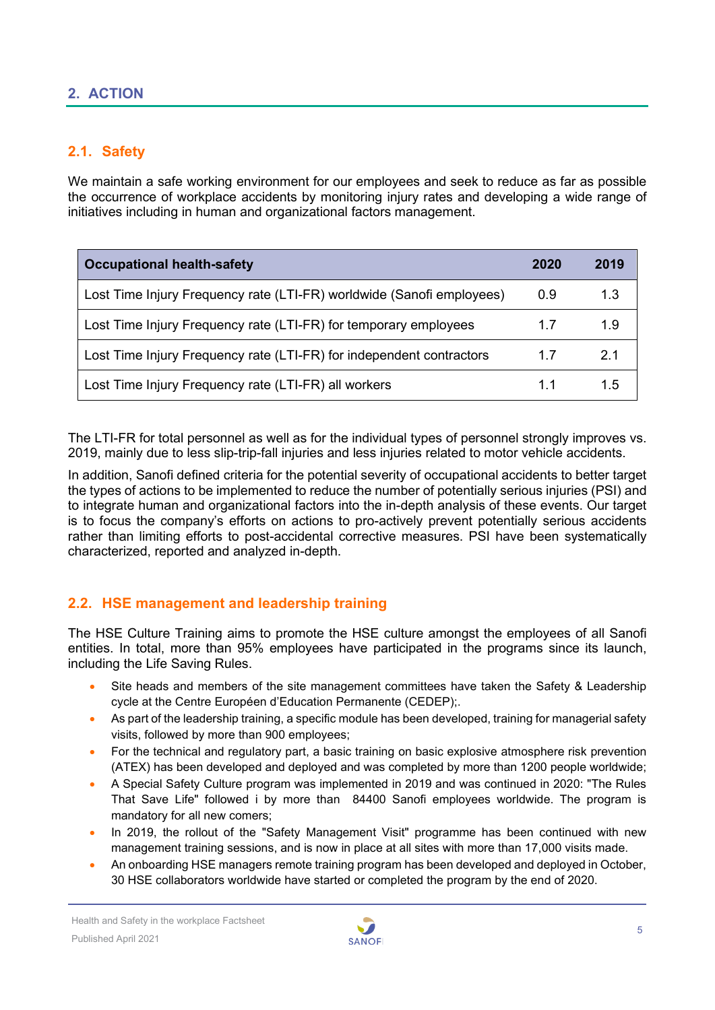#### <span id="page-4-0"></span>**2. ACTION**

#### <span id="page-4-1"></span>**2.1. Safety**

We maintain a safe working environment for our employees and seek to reduce as far as possible the occurrence of workplace accidents by monitoring injury rates and developing a wide range of initiatives including in human and organizational factors management.

| <b>Occupational health-safety</b>                                     | 2020 | 2019 |
|-----------------------------------------------------------------------|------|------|
| Lost Time Injury Frequency rate (LTI-FR) worldwide (Sanofi employees) | 0.9  | 1.3  |
| Lost Time Injury Frequency rate (LTI-FR) for temporary employees      | 17   | 1.9  |
| Lost Time Injury Frequency rate (LTI-FR) for independent contractors  | 17   | 2.1  |
| Lost Time Injury Frequency rate (LTI-FR) all workers                  | 11   | 15   |

The LTI-FR for total personnel as well as for the individual types of personnel strongly improves vs. 2019, mainly due to less slip-trip-fall injuries and less injuries related to motor vehicle accidents.

In addition, Sanofi defined criteria for the potential severity of occupational accidents to better target the types of actions to be implemented to reduce the number of potentially serious injuries (PSI) and to integrate human and organizational factors into the in-depth analysis of these events. Our target is to focus the company's efforts on actions to pro-actively prevent potentially serious accidents rather than limiting efforts to post-accidental corrective measures. PSI have been systematically characterized, reported and analyzed in-depth.

#### <span id="page-4-2"></span>**2.2. HSE management and leadership training**

The HSE Culture Training aims to promote the HSE culture amongst the employees of all Sanofi entities. In total, more than 95% employees have participated in the programs since its launch, including the Life Saving Rules.

- Site heads and members of the site management committees have taken the Safety & Leadership cycle at the Centre Européen d'Education Permanente (CEDEP);.
- As part of the leadership training, a specific module has been developed, training for managerial safety visits, followed by more than 900 employees;
- For the technical and regulatory part, a basic training on basic explosive atmosphere risk prevention (ATEX) has been developed and deployed and was completed by more than 1200 people worldwide;
- A Special Safety Culture program was implemented in 2019 and was continued in 2020: "The Rules That Save Life" followed i by more than 84400 Sanofi employees worldwide. The program is mandatory for all new comers;
- In 2019, the rollout of the "Safety Management Visit" programme has been continued with new management training sessions, and is now in place at all sites with more than 17,000 visits made.
- An onboarding HSE managers remote training program has been developed and deployed in October, 30 HSE collaborators worldwide have started or completed the program by the end of 2020.

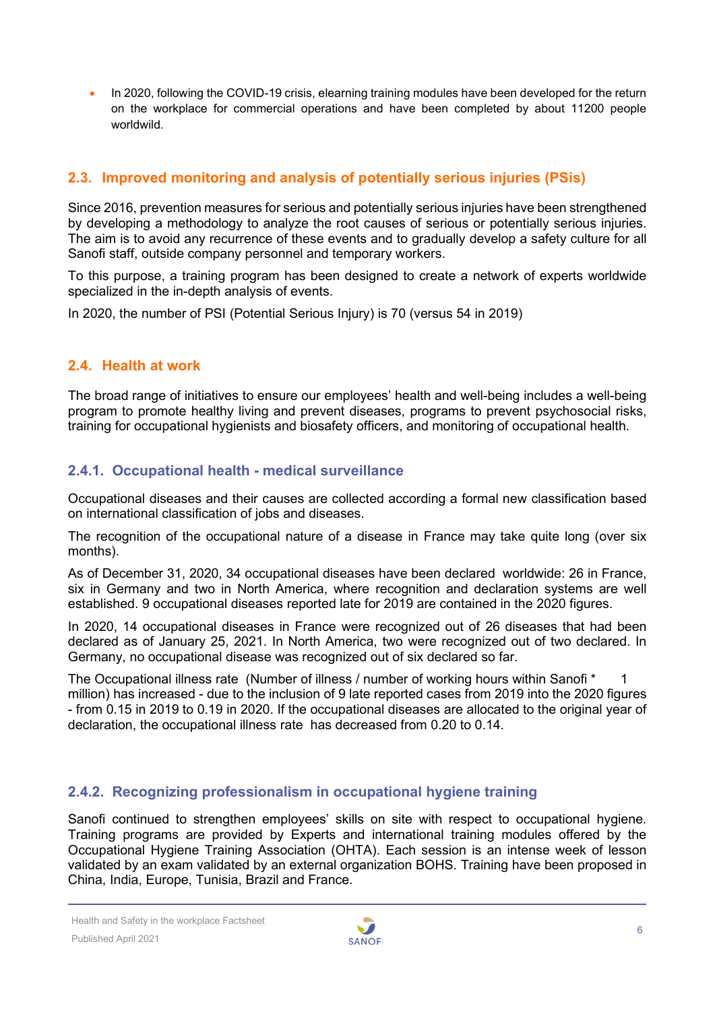In 2020, following the COVID-19 crisis, elearning training modules have been developed for the return on the workplace for commercial operations and have been completed by about 11200 people worldwild.

#### <span id="page-5-0"></span>**2.3. Improved monitoring and analysis of potentially serious injuries (PSis)**

Since 2016, prevention measures for serious and potentially serious injuries have been strengthened by developing a methodology to analyze the root causes of serious or potentially serious injuries. The aim is to avoid any recurrence of these events and to gradually develop a safety culture for all Sanofi staff, outside company personnel and temporary workers.

To this purpose, a training program has been designed to create a network of experts worldwide specialized in the in-depth analysis of events.

<span id="page-5-1"></span>In 2020, the number of PSI (Potential Serious Injury) is 70 (versus 54 in 2019)

#### **2.4. Health at work**

The broad range of initiatives to ensure our employees' health and well-being includes a well-being program to promote healthy living and prevent diseases, programs to prevent psychosocial risks, training for occupational hygienists and biosafety officers, and monitoring of occupational health.

#### **2.4.1. Occupational health - medical surveillance**

Occupational diseases and their causes are collected according a formal new classification based on international classification of jobs and diseases.

The recognition of the occupational nature of a disease in France may take quite long (over six months).

As of December 31, 2020, 34 occupational diseases have been declared worldwide: 26 in France, six in Germany and two in North America, where recognition and declaration systems are well established. 9 occupational diseases reported late for 2019 are contained in the 2020 figures.

In 2020, 14 occupational diseases in France were recognized out of 26 diseases that had been declared as of January 25, 2021. In North America, two were recognized out of two declared. In Germany, no occupational disease was recognized out of six declared so far.

The Occupational illness rate (Number of illness / number of working hours within Sanofi \* 1 million) has increased - due to the inclusion of 9 late reported cases from 2019 into the 2020 figures - from 0.15 in 2019 to 0.19 in 2020. If the occupational diseases are allocated to the original year of declaration, the occupational illness rate has decreased from 0.20 to 0.14.

#### **2.4.2. Recognizing professionalism in occupational hygiene training**

Sanofi continued to strengthen employees' skills on site with respect to occupational hygiene. Training programs are provided by Experts and international training modules offered by the Occupational Hygiene Training Association (OHTA). Each session is an intense week of lesson validated by an exam validated by an external organization BOHS. Training have been proposed in China, India, Europe, Tunisia, Brazil and France.